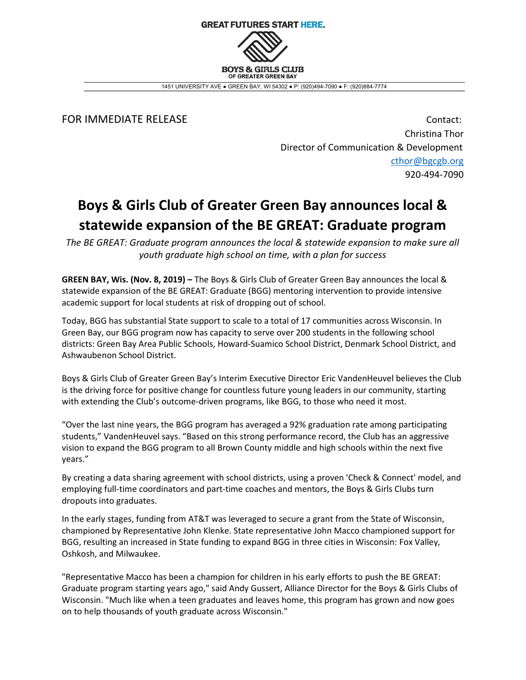

1451 UNIVERSITY AVE ● GREEN BAY, WI 54302 ● P: (920)494-7090 ● F: (920)884-7774

FOR IMMEDIATE RELEASE **Contact:** Contact: Christina Thor Director of Communication & Development cthor@bgcgb.org 920-494-7090

## Boys & Girls Club of Greater Green Bay announces local & statewide expansion of the BE GREAT: Graduate program

The BE GREAT: Graduate program announces the local & statewide expansion to make sure all youth graduate high school on time, with a plan for success

GREEN BAY, Wis. (Nov. 8, 2019) – The Boys & Girls Club of Greater Green Bay announces the local & statewide expansion of the BE GREAT: Graduate (BGG) mentoring intervention to provide intensive academic support for local students at risk of dropping out of school.

Today, BGG has substantial State support to scale to a total of 17 communities across Wisconsin. In Green Bay, our BGG program now has capacity to serve over 200 students in the following school districts: Green Bay Area Public Schools, Howard-Suamico School District, Denmark School District, and Ashwaubenon School District.

Boys & Girls Club of Greater Green Bay's Interim Executive Director Eric VandenHeuvel believes the Club is the driving force for positive change for countless future young leaders in our community, starting with extending the Club's outcome-driven programs, like BGG, to those who need it most.

"Over the last nine years, the BGG program has averaged a 92% graduation rate among participating students," VandenHeuvel says. "Based on this strong performance record, the Club has an aggressive vision to expand the BGG program to all Brown County middle and high schools within the next five years."

By creating a data sharing agreement with school districts, using a proven 'Check & Connect' model, and employing full-time coordinators and part-time coaches and mentors, the Boys & Girls Clubs turn dropouts into graduates.

In the early stages, funding from AT&T was leveraged to secure a grant from the State of Wisconsin, championed by Representative John Klenke. State representative John Macco championed support for BGG, resulting an increased in State funding to expand BGG in three cities in Wisconsin: Fox Valley, Oshkosh, and Milwaukee.

"Representative Macco has been a champion for children in his early efforts to push the BE GREAT: Graduate program starting years ago," said Andy Gussert, Alliance Director for the Boys & Girls Clubs of Wisconsin. "Much like when a teen graduates and leaves home, this program has grown and now goes on to help thousands of youth graduate across Wisconsin."